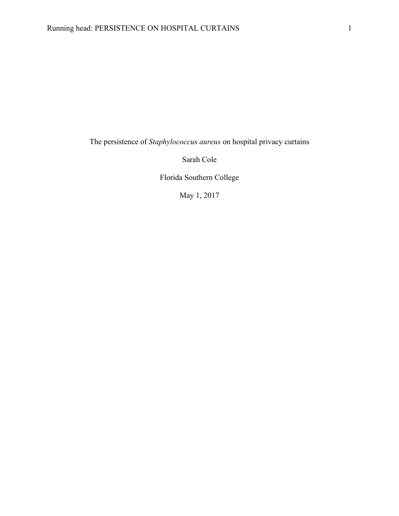The persistence of *Staphylococcus aureus* on hospital privacy curtains

Sarah Cole

Florida Southern College

May 1, 2017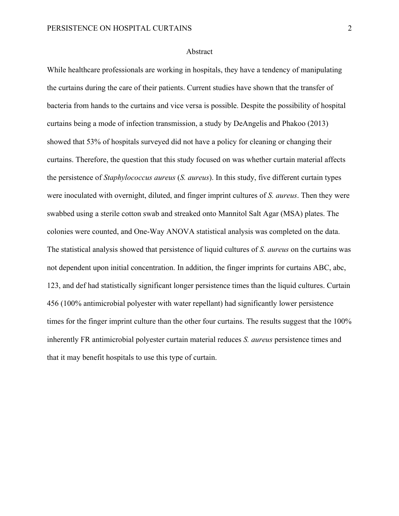## Abstract

While healthcare professionals are working in hospitals, they have a tendency of manipulating the curtains during the care of their patients. Current studies have shown that the transfer of bacteria from hands to the curtains and vice versa is possible. Despite the possibility of hospital curtains being a mode of infection transmission, a study by DeAngelis and Phakoo (2013) showed that 53% of hospitals surveyed did not have a policy for cleaning or changing their curtains. Therefore, the question that this study focused on was whether curtain material affects the persistence of *Staphylococcus aureus* (*S. aureus*). In this study, five different curtain types were inoculated with overnight, diluted, and finger imprint cultures of *S. aureus*. Then they were swabbed using a sterile cotton swab and streaked onto Mannitol Salt Agar (MSA) plates. The colonies were counted, and One-Way ANOVA statistical analysis was completed on the data. The statistical analysis showed that persistence of liquid cultures of *S. aureus* on the curtains was not dependent upon initial concentration. In addition, the finger imprints for curtains ABC, abc, 123, and def had statistically significant longer persistence times than the liquid cultures. Curtain 456 (100% antimicrobial polyester with water repellant) had significantly lower persistence times for the finger imprint culture than the other four curtains. The results suggest that the 100% inherently FR antimicrobial polyester curtain material reduces *S. aureus* persistence times and that it may benefit hospitals to use this type of curtain.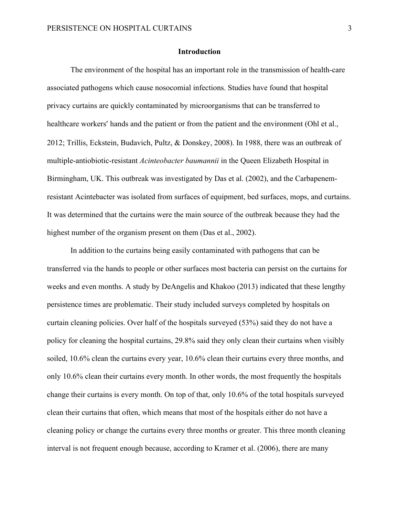## **Introduction**

The environment of the hospital has an important role in the transmission of health-care associated pathogens which cause nosocomial infections. Studies have found that hospital privacy curtains are quickly contaminated by microorganisms that can be transferred to healthcare workers' hands and the patient or from the patient and the environment (Ohl et al., 2012; Trillis, Eckstein, Budavich, Pultz, & Donskey, 2008). In 1988, there was an outbreak of multiple-antiobiotic-resistant *Acinteobacter baumannii* in the Queen Elizabeth Hospital in Birmingham, UK. This outbreak was investigated by Das et al. (2002), and the Carbapenemresistant Acintebacter was isolated from surfaces of equipment, bed surfaces, mops, and curtains. It was determined that the curtains were the main source of the outbreak because they had the highest number of the organism present on them (Das et al., 2002).

In addition to the curtains being easily contaminated with pathogens that can be transferred via the hands to people or other surfaces most bacteria can persist on the curtains for weeks and even months. A study by DeAngelis and Khakoo (2013) indicated that these lengthy persistence times are problematic. Their study included surveys completed by hospitals on curtain cleaning policies. Over half of the hospitals surveyed (53%) said they do not have a policy for cleaning the hospital curtains, 29.8% said they only clean their curtains when visibly soiled, 10.6% clean the curtains every year, 10.6% clean their curtains every three months, and only 10.6% clean their curtains every month. In other words, the most frequently the hospitals change their curtains is every month. On top of that, only 10.6% of the total hospitals surveyed clean their curtains that often, which means that most of the hospitals either do not have a cleaning policy or change the curtains every three months or greater. This three month cleaning interval is not frequent enough because, according to Kramer et al. (2006), there are many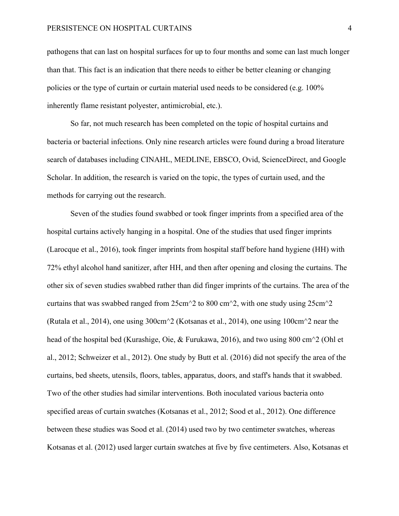pathogens that can last on hospital surfaces for up to four months and some can last much longer than that. This fact is an indication that there needs to either be better cleaning or changing policies or the type of curtain or curtain material used needs to be considered (e.g. 100% inherently flame resistant polyester, antimicrobial, etc.).

So far, not much research has been completed on the topic of hospital curtains and bacteria or bacterial infections. Only nine research articles were found during a broad literature search of databases including CINAHL, MEDLINE, EBSCO, Ovid, ScienceDirect, and Google Scholar. In addition, the research is varied on the topic, the types of curtain used, and the methods for carrying out the research.

Seven of the studies found swabbed or took finger imprints from a specified area of the hospital curtains actively hanging in a hospital. One of the studies that used finger imprints (Larocque et al., 2016), took finger imprints from hospital staff before hand hygiene (HH) with 72% ethyl alcohol hand sanitizer, after HH, and then after opening and closing the curtains. The other six of seven studies swabbed rather than did finger imprints of the curtains. The area of the curtains that was swabbed ranged from  $25 \text{cm}^2$  to 800 cm<sup> $\textdegree$ </sup>2, with one study using  $25 \text{cm}^2$ (Rutala et al., 2014), one using 300cm^2 (Kotsanas et al., 2014), one using 100cm^2 near the head of the hospital bed (Kurashige, Oie, & Furukawa, 2016), and two using 800 cm^2 (Ohl et al., 2012; Schweizer et al., 2012). One study by Butt et al. (2016) did not specify the area of the curtains, bed sheets, utensils, floors, tables, apparatus, doors, and staff's hands that it swabbed. Two of the other studies had similar interventions. Both inoculated various bacteria onto specified areas of curtain swatches (Kotsanas et al., 2012; Sood et al., 2012). One difference between these studies was Sood et al. (2014) used two by two centimeter swatches, whereas Kotsanas et al. (2012) used larger curtain swatches at five by five centimeters. Also, Kotsanas et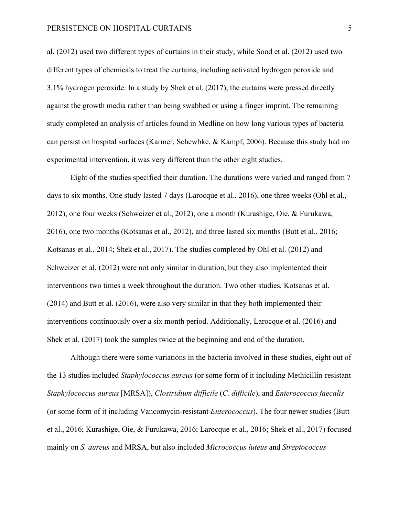## PERSISTENCE ON HOSPITAL CURTAINS 5

al. (2012) used two different types of curtains in their study, while Sood et al. (2012) used two different types of chemicals to treat the curtains, including activated hydrogen peroxide and 3.1% hydrogen peroxide. In a study by Shek et al. (2017), the curtains were pressed directly against the growth media rather than being swabbed or using a finger imprint. The remaining study completed an analysis of articles found in Medline on how long various types of bacteria can persist on hospital surfaces (Karmer, Schewbke, & Kampf, 2006). Because this study had no experimental intervention, it was very different than the other eight studies.

Eight of the studies specified their duration. The durations were varied and ranged from 7 days to six months. One study lasted 7 days (Larocque et al., 2016), one three weeks (Ohl et al., 2012), one four weeks (Schweizer et al., 2012), one a month (Kurashige, Oie, & Furukawa, 2016), one two months (Kotsanas et al., 2012), and three lasted six months (Butt et al., 2016; Kotsanas et al., 2014; Shek et al., 2017). The studies completed by Ohl et al. (2012) and Schweizer et al. (2012) were not only similar in duration, but they also implemented their interventions two times a week throughout the duration. Two other studies, Kotsanas et al. (2014) and Butt et al. (2016), were also very similar in that they both implemented their interventions continuously over a six month period. Additionally, Larocque et al. (2016) and Shek et al. (2017) took the samples twice at the beginning and end of the duration.

Although there were some variations in the bacteria involved in these studies, eight out of the 13 studies included *Staphylococcus aureus* (or some form of it including Methicillin-resistant *Staphylococcus aureus* [MRSA]), *Clostridium difficile* (*C. difficile*), and *Enterococcus faecalis*  (or some form of it including Vancomycin-resistant *Enterococcus*). The four newer studies (Butt et al., 2016; Kurashige, Oie, & Furukawa, 2016; Larocque et al., 2016; Shek et al., 2017) focused mainly on *S. aureus* and MRSA, but also included *Micrococcus luteus* and *Streptococcus*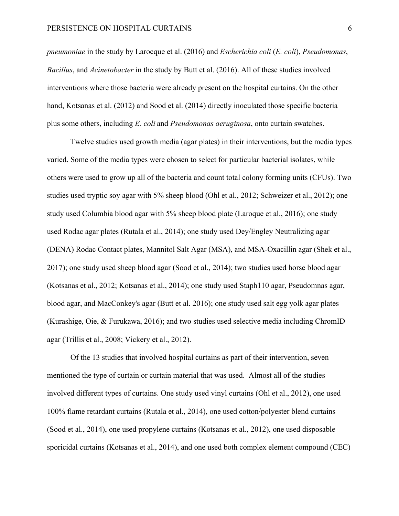*pneumoniae* in the study by Larocque et al. (2016) and *Escherichia coli* (*E. coli*), *Pseudomonas*, *Bacillus*, and *Acinetobacter* in the study by Butt et al. (2016). All of these studies involved interventions where those bacteria were already present on the hospital curtains. On the other hand, Kotsanas et al. (2012) and Sood et al. (2014) directly inoculated those specific bacteria plus some others, including *E. coli* and *Pseudomonas aeruginosa*, onto curtain swatches.

Twelve studies used growth media (agar plates) in their interventions, but the media types varied. Some of the media types were chosen to select for particular bacterial isolates, while others were used to grow up all of the bacteria and count total colony forming units (CFUs). Two studies used tryptic soy agar with 5% sheep blood (Ohl et al., 2012; Schweizer et al., 2012); one study used Columbia blood agar with 5% sheep blood plate (Laroque et al., 2016); one study used Rodac agar plates (Rutala et al., 2014); one study used Dey/Engley Neutralizing agar (DENA) Rodac Contact plates, Mannitol Salt Agar (MSA), and MSA-Oxacillin agar (Shek et al., 2017); one study used sheep blood agar (Sood et al., 2014); two studies used horse blood agar (Kotsanas et al., 2012; Kotsanas et al., 2014); one study used Staph110 agar, Pseudomnas agar, blood agar, and MacConkey's agar (Butt et al. 2016); one study used salt egg yolk agar plates (Kurashige, Oie, & Furukawa, 2016); and two studies used selective media including ChromID agar (Trillis et al., 2008; Vickery et al., 2012).

Of the 13 studies that involved hospital curtains as part of their intervention, seven mentioned the type of curtain or curtain material that was used. Almost all of the studies involved different types of curtains. One study used vinyl curtains (Ohl et al., 2012), one used 100% flame retardant curtains (Rutala et al., 2014), one used cotton/polyester blend curtains (Sood et al., 2014), one used propylene curtains (Kotsanas et al., 2012), one used disposable sporicidal curtains (Kotsanas et al., 2014), and one used both complex element compound (CEC)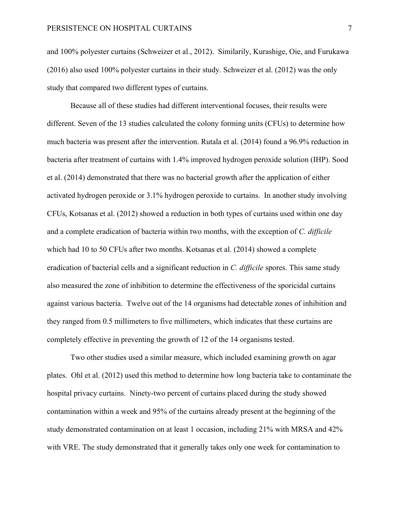and 100% polyester curtains (Schweizer et al., 2012). Similarily, Kurashige, Oie, and Furukawa (2016) also used 100% polyester curtains in their study. Schweizer et al. (2012) was the only study that compared two different types of curtains.

Because all of these studies had different interventional focuses, their results were different. Seven of the 13 studies calculated the colony forming units (CFUs) to determine how much bacteria was present after the intervention. Rutala et al. (2014) found a 96.9% reduction in bacteria after treatment of curtains with 1.4% improved hydrogen peroxide solution (IHP). Sood et al. (2014) demonstrated that there was no bacterial growth after the application of either activated hydrogen peroxide or 3.1% hydrogen peroxide to curtains. In another study involving CFUs, Kotsanas et al. (2012) showed a reduction in both types of curtains used within one day and a complete eradication of bacteria within two months, with the exception of *C. difficile* which had 10 to 50 CFUs after two months. Kotsanas et al. (2014) showed a complete eradication of bacterial cells and a significant reduction in *C. difficile* spores. This same study also measured the zone of inhibition to determine the effectiveness of the sporicidal curtains against various bacteria. Twelve out of the 14 organisms had detectable zones of inhibition and they ranged from 0.5 millimeters to five millimeters, which indicates that these curtains are completely effective in preventing the growth of 12 of the 14 organisms tested.

Two other studies used a similar measure, which included examining growth on agar plates. Ohl et al. (2012) used this method to determine how long bacteria take to contaminate the hospital privacy curtains. Ninety-two percent of curtains placed during the study showed contamination within a week and 95% of the curtains already present at the beginning of the study demonstrated contamination on at least 1 occasion, including 21% with MRSA and 42% with VRE. The study demonstrated that it generally takes only one week for contamination to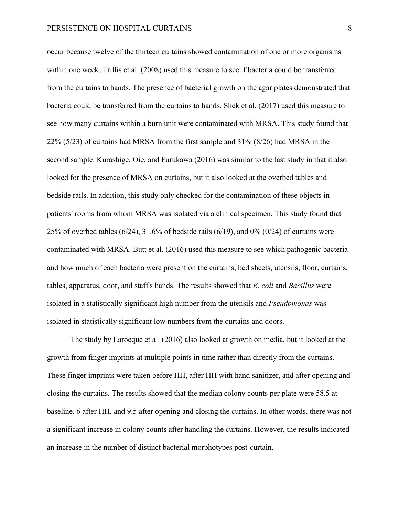occur because twelve of the thirteen curtains showed contamination of one or more organisms within one week. Trillis et al. (2008) used this measure to see if bacteria could be transferred from the curtains to hands. The presence of bacterial growth on the agar plates demonstrated that bacteria could be transferred from the curtains to hands. Shek et al. (2017) used this measure to see how many curtains within a burn unit were contaminated with MRSA. This study found that 22% (5/23) of curtains had MRSA from the first sample and 31% (8/26) had MRSA in the second sample. Kurashige, Oie, and Furukawa (2016) was similar to the last study in that it also looked for the presence of MRSA on curtains, but it also looked at the overbed tables and bedside rails. In addition, this study only checked for the contamination of these objects in patients' rooms from whom MRSA was isolated via a clinical specimen. This study found that 25% of overbed tables (6/24), 31.6% of bedside rails (6/19), and 0% (0/24) of curtains were contaminated with MRSA. Butt et al. (2016) used this measure to see which pathogenic bacteria and how much of each bacteria were present on the curtains, bed sheets, utensils, floor, curtains, tables, apparatus, door, and staff's hands. The results showed that *E. coli* and *Bacillus* were isolated in a statistically significant high number from the utensils and *Pseudomonas* was isolated in statistically significant low numbers from the curtains and doors.

The study by Larocque et al. (2016) also looked at growth on media, but it looked at the growth from finger imprints at multiple points in time rather than directly from the curtains. These finger imprints were taken before HH, after HH with hand sanitizer, and after opening and closing the curtains. The results showed that the median colony counts per plate were 58.5 at baseline, 6 after HH, and 9.5 after opening and closing the curtains. In other words, there was not a significant increase in colony counts after handling the curtains. However, the results indicated an increase in the number of distinct bacterial morphotypes post-curtain.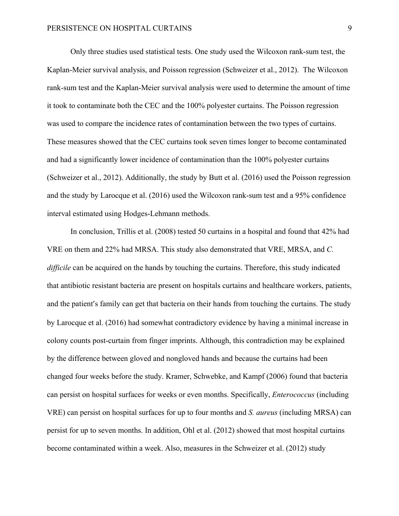Only three studies used statistical tests. One study used the Wilcoxon rank-sum test, the Kaplan-Meier survival analysis, and Poisson regression (Schweizer et al., 2012). The Wilcoxon rank-sum test and the Kaplan-Meier survival analysis were used to determine the amount of time it took to contaminate both the CEC and the 100% polyester curtains. The Poisson regression was used to compare the incidence rates of contamination between the two types of curtains. These measures showed that the CEC curtains took seven times longer to become contaminated and had a significantly lower incidence of contamination than the 100% polyester curtains (Schweizer et al., 2012). Additionally, the study by Butt et al. (2016) used the Poisson regression and the study by Larocque et al. (2016) used the Wilcoxon rank-sum test and a 95% confidence interval estimated using Hodges-Lehmann methods.

In conclusion, Trillis et al. (2008) tested 50 curtains in a hospital and found that 42% had VRE on them and 22% had MRSA. This study also demonstrated that VRE, MRSA, and *C. difficile* can be acquired on the hands by touching the curtains. Therefore, this study indicated that antibiotic resistant bacteria are present on hospitals curtains and healthcare workers, patients, and the patient's family can get that bacteria on their hands from touching the curtains. The study by Larocque et al. (2016) had somewhat contradictory evidence by having a minimal increase in colony counts post-curtain from finger imprints. Although, this contradiction may be explained by the difference between gloved and nongloved hands and because the curtains had been changed four weeks before the study. Kramer, Schwebke, and Kampf (2006) found that bacteria can persist on hospital surfaces for weeks or even months. Specifically, *Enterococcus* (including VRE) can persist on hospital surfaces for up to four months and *S. aureus* (including MRSA) can persist for up to seven months. In addition, Ohl et al. (2012) showed that most hospital curtains become contaminated within a week. Also, measures in the Schweizer et al. (2012) study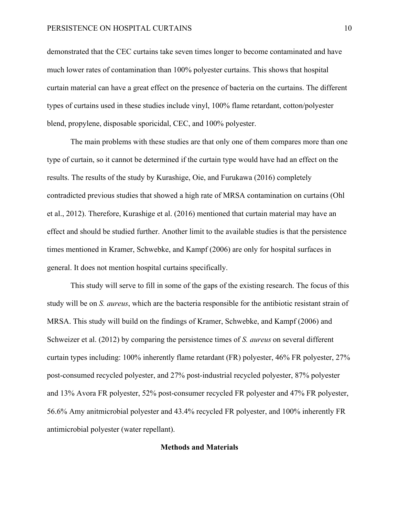## PERSISTENCE ON HOSPITAL CURTAINS 10

demonstrated that the CEC curtains take seven times longer to become contaminated and have much lower rates of contamination than 100% polyester curtains. This shows that hospital curtain material can have a great effect on the presence of bacteria on the curtains. The different types of curtains used in these studies include vinyl, 100% flame retardant, cotton/polyester blend, propylene, disposable sporicidal, CEC, and 100% polyester.

The main problems with these studies are that only one of them compares more than one type of curtain, so it cannot be determined if the curtain type would have had an effect on the results. The results of the study by Kurashige, Oie, and Furukawa (2016) completely contradicted previous studies that showed a high rate of MRSA contamination on curtains (Ohl et al., 2012). Therefore, Kurashige et al. (2016) mentioned that curtain material may have an effect and should be studied further. Another limit to the available studies is that the persistence times mentioned in Kramer, Schwebke, and Kampf (2006) are only for hospital surfaces in general. It does not mention hospital curtains specifically.

This study will serve to fill in some of the gaps of the existing research. The focus of this study will be on *S. aureus*, which are the bacteria responsible for the antibiotic resistant strain of MRSA. This study will build on the findings of Kramer, Schwebke, and Kampf (2006) and Schweizer et al. (2012) by comparing the persistence times of *S. aureus* on several different curtain types including: 100% inherently flame retardant (FR) polyester, 46% FR polyester, 27% post-consumed recycled polyester, and 27% post-industrial recycled polyester, 87% polyester and 13% Avora FR polyester, 52% post-consumer recycled FR polyester and 47% FR polyester, 56.6% Amy anitmicrobial polyester and 43.4% recycled FR polyester, and 100% inherently FR antimicrobial polyester (water repellant).

# **Methods and Materials**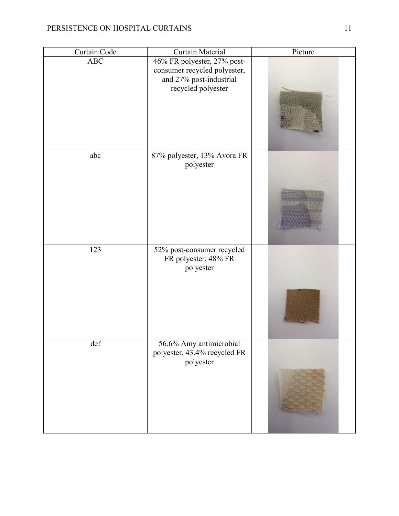| Curtain Code | Curtain Material                                                                                             | Picture |
|--------------|--------------------------------------------------------------------------------------------------------------|---------|
| $\rm{ABC}$   | 46% FR polyester, 27% post-<br>consumer recycled polyester,<br>and 27% post-industrial<br>recycled polyester |         |
| abc          | 87% polyester, 13% Avora FR<br>polyester                                                                     |         |
| 123          | 52% post-consumer recycled<br>FR polyester, 48% FR<br>polyester                                              |         |
| def          | 56.6% Amy antimicrobial<br>polyester, 43.4% recycled FR<br>polyester                                         |         |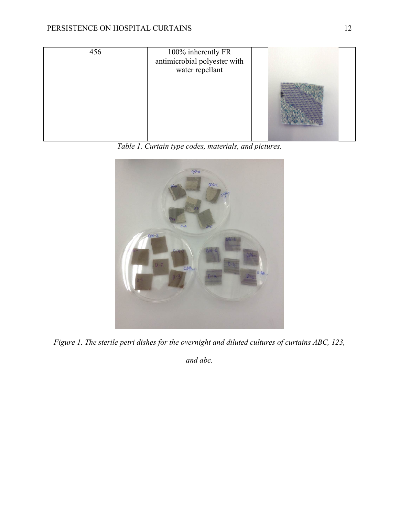

*Table 1. Curtain type codes, materials, and pictures.*



*Figure 1. The sterile petri dishes for the overnight and diluted cultures of curtains ABC, 123,* 

*and abc.*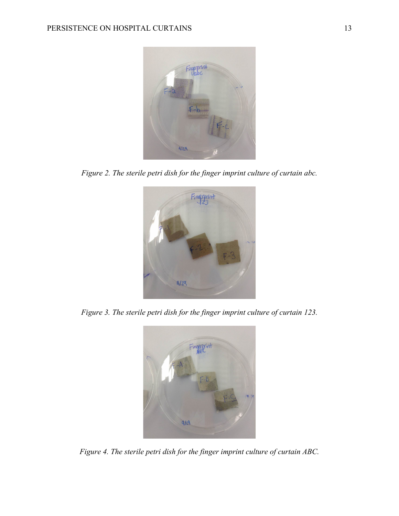

*Figure 2. The sterile petri dish for the finger imprint culture of curtain abc.*



*Figure 3. The sterile petri dish for the finger imprint culture of curtain 123.*



*Figure 4. The sterile petri dish for the finger imprint culture of curtain ABC.*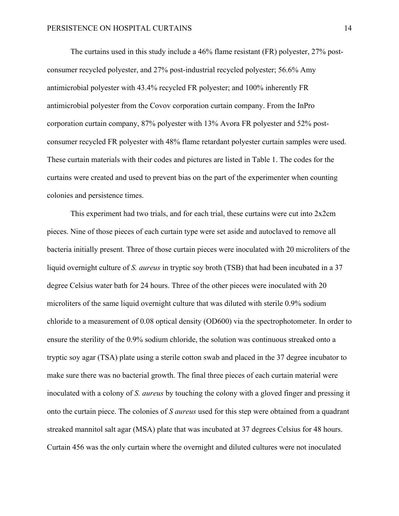The curtains used in this study include a 46% flame resistant (FR) polyester, 27% postconsumer recycled polyester, and 27% post-industrial recycled polyester; 56.6% Amy antimicrobial polyester with 43.4% recycled FR polyester; and 100% inherently FR antimicrobial polyester from the Covov corporation curtain company. From the InPro corporation curtain company, 87% polyester with 13% Avora FR polyester and 52% postconsumer recycled FR polyester with 48% flame retardant polyester curtain samples were used. These curtain materials with their codes and pictures are listed in Table 1. The codes for the curtains were created and used to prevent bias on the part of the experimenter when counting colonies and persistence times.

This experiment had two trials, and for each trial, these curtains were cut into 2x2cm pieces. Nine of those pieces of each curtain type were set aside and autoclaved to remove all bacteria initially present. Three of those curtain pieces were inoculated with 20 microliters of the liquid overnight culture of *S. aureus* in tryptic soy broth (TSB) that had been incubated in a 37 degree Celsius water bath for 24 hours. Three of the other pieces were inoculated with 20 microliters of the same liquid overnight culture that was diluted with sterile 0.9% sodium chloride to a measurement of 0.08 optical density (OD600) via the spectrophotometer. In order to ensure the sterility of the 0.9% sodium chloride, the solution was continuous streaked onto a tryptic soy agar (TSA) plate using a sterile cotton swab and placed in the 37 degree incubator to make sure there was no bacterial growth. The final three pieces of each curtain material were inoculated with a colony of *S. aureus* by touching the colony with a gloved finger and pressing it onto the curtain piece. The colonies of *S aureus* used for this step were obtained from a quadrant streaked mannitol salt agar (MSA) plate that was incubated at 37 degrees Celsius for 48 hours. Curtain 456 was the only curtain where the overnight and diluted cultures were not inoculated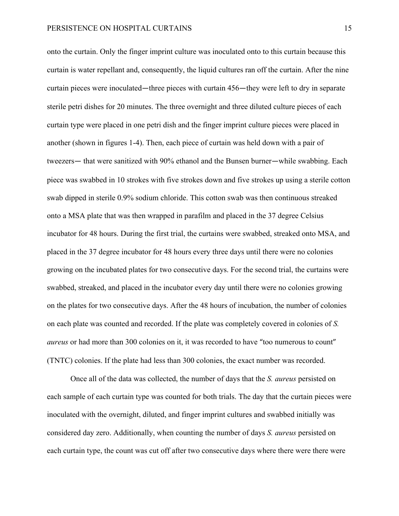onto the curtain. Only the finger imprint culture was inoculated onto to this curtain because this curtain is water repellant and, consequently, the liquid cultures ran off the curtain. After the nine curtain pieces were inoculated—three pieces with curtain 456—they were left to dry in separate sterile petri dishes for 20 minutes. The three overnight and three diluted culture pieces of each curtain type were placed in one petri dish and the finger imprint culture pieces were placed in another (shown in figures 1-4). Then, each piece of curtain was held down with a pair of tweezers— that were sanitized with 90% ethanol and the Bunsen burner—while swabbing. Each piece was swabbed in 10 strokes with five strokes down and five strokes up using a sterile cotton swab dipped in sterile 0.9% sodium chloride. This cotton swab was then continuous streaked onto a MSA plate that was then wrapped in parafilm and placed in the 37 degree Celsius incubator for 48 hours. During the first trial, the curtains were swabbed, streaked onto MSA, and placed in the 37 degree incubator for 48 hours every three days until there were no colonies growing on the incubated plates for two consecutive days. For the second trial, the curtains were swabbed, streaked, and placed in the incubator every day until there were no colonies growing on the plates for two consecutive days. After the 48 hours of incubation, the number of colonies on each plate was counted and recorded. If the plate was completely covered in colonies of *S. aureus* or had more than 300 colonies on it, it was recorded to have "too numerous to count" (TNTC) colonies. If the plate had less than 300 colonies, the exact number was recorded.

Once all of the data was collected, the number of days that the *S. aureus* persisted on each sample of each curtain type was counted for both trials. The day that the curtain pieces were inoculated with the overnight, diluted, and finger imprint cultures and swabbed initially was considered day zero. Additionally, when counting the number of days *S. aureus* persisted on each curtain type, the count was cut off after two consecutive days where there were there were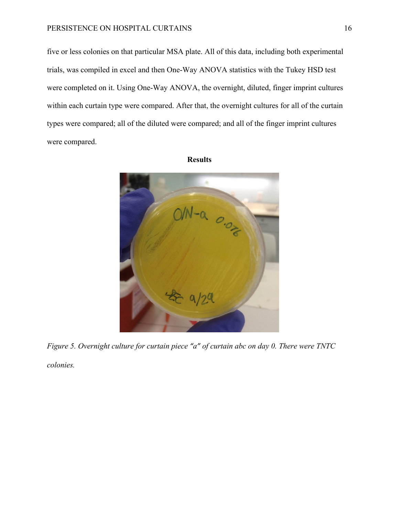# PERSISTENCE ON HOSPITAL CURTAINS 16

five or less colonies on that particular MSA plate. All of this data, including both experimental trials, was compiled in excel and then One-Way ANOVA statistics with the Tukey HSD test were completed on it. Using One-Way ANOVA, the overnight, diluted, finger imprint cultures within each curtain type were compared. After that, the overnight cultures for all of the curtain types were compared; all of the diluted were compared; and all of the finger imprint cultures were compared.



#### **Results**

*Figure 5. Overnight culture for curtain piece "a" of curtain abc on day 0. There were TNTC colonies.*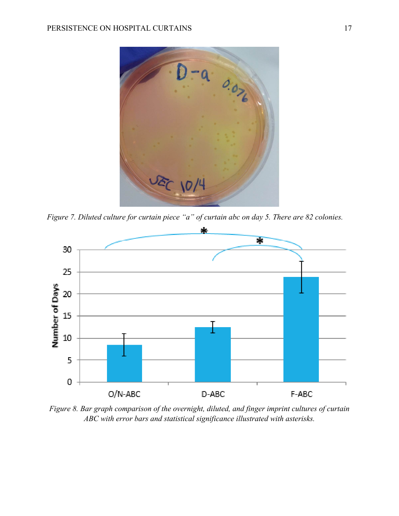

*Figure 7. Diluted culture for curtain piece "a" of curtain abc on day 5. There are 82 colonies.*



*Figure 8. Bar graph comparison of the overnight, diluted, and finger imprint cultures of curtain ABC with error bars and statistical significance illustrated with asterisks.*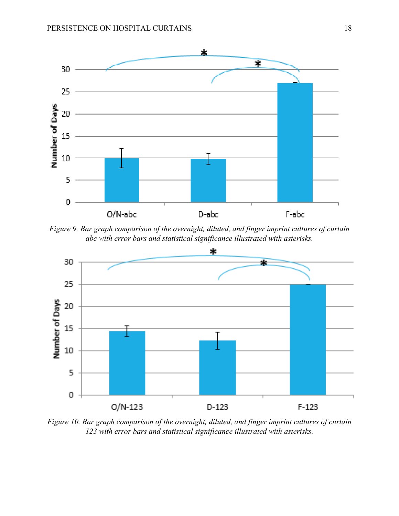

*Figure 9. Bar graph comparison of the overnight, diluted, and finger imprint cultures of curtain abc with error bars and statistical significance illustrated with asterisks.*



*Figure 10. Bar graph comparison of the overnight, diluted, and finger imprint cultures of curtain 123 with error bars and statistical significance illustrated with asterisks.*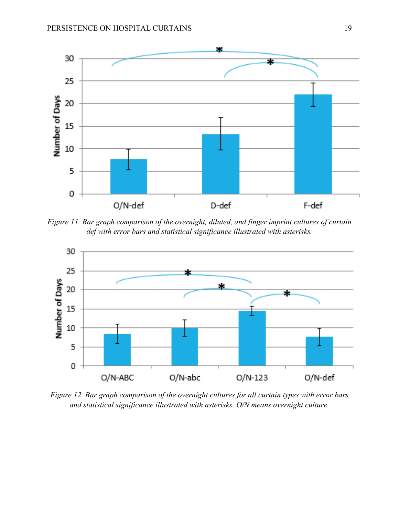

*Figure 11. Bar graph comparison of the overnight, diluted, and finger imprint cultures of curtain def with error bars and statistical significance illustrated with asterisks.*



*Figure 12. Bar graph comparison of the overnight cultures for all curtain types with error bars and statistical significance illustrated with asterisks. O/N means overnight culture.*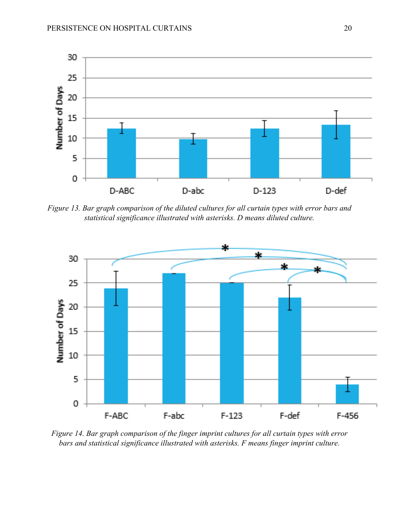

*Figure 13. Bar graph comparison of the diluted cultures for all curtain types with error bars and statistical significance illustrated with asterisks. D means diluted culture.*



*Figure 14. Bar graph comparison of the finger imprint cultures for all curtain types with error bars and statistical significance illustrated with asterisks. F means finger imprint culture.*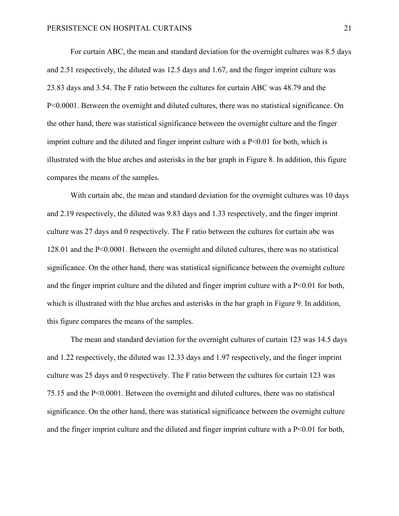For curtain ABC, the mean and standard deviation for the overnight cultures was 8.5 days and 2.51 respectively, the diluted was 12.5 days and 1.67, and the finger imprint culture was 23.83 days and 3.54. The F ratio between the cultures for curtain ABC was 48.79 and the P<0.0001. Between the overnight and diluted cultures, there was no statistical significance. On the other hand, there was statistical significance between the overnight culture and the finger imprint culture and the diluted and finger imprint culture with a  $P<0.01$  for both, which is illustrated with the blue arches and asterisks in the bar graph in Figure 8. In addition, this figure compares the means of the samples.

With curtain abc, the mean and standard deviation for the overnight cultures was 10 days and 2.19 respectively, the diluted was 9.83 days and 1.33 respectively, and the finger imprint culture was 27 days and 0 respectively. The F ratio between the cultures for curtain abc was 128.01 and the P<0.0001. Between the overnight and diluted cultures, there was no statistical significance. On the other hand, there was statistical significance between the overnight culture and the finger imprint culture and the diluted and finger imprint culture with a P<0.01 for both, which is illustrated with the blue arches and asterisks in the bar graph in Figure 9. In addition, this figure compares the means of the samples.

The mean and standard deviation for the overnight cultures of curtain 123 was 14.5 days and 1.22 respectively, the diluted was 12.33 days and 1.97 respectively, and the finger imprint culture was 25 days and 0 respectively. The F ratio between the cultures for curtain 123 was 75.15 and the P<0.0001. Between the overnight and diluted cultures, there was no statistical significance. On the other hand, there was statistical significance between the overnight culture and the finger imprint culture and the diluted and finger imprint culture with a  $P<0.01$  for both,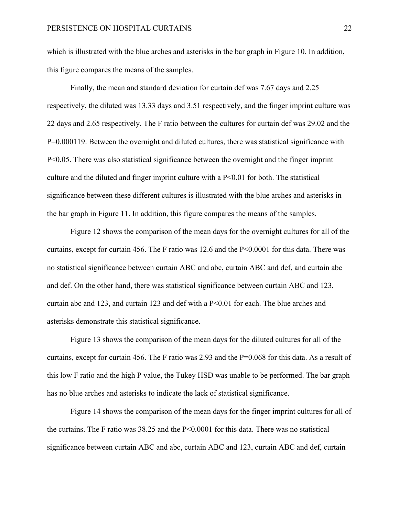which is illustrated with the blue arches and asterisks in the bar graph in Figure 10. In addition, this figure compares the means of the samples.

Finally, the mean and standard deviation for curtain def was 7.67 days and 2.25 respectively, the diluted was 13.33 days and 3.51 respectively, and the finger imprint culture was 22 days and 2.65 respectively. The F ratio between the cultures for curtain def was 29.02 and the P=0.000119. Between the overnight and diluted cultures, there was statistical significance with P<0.05. There was also statistical significance between the overnight and the finger imprint culture and the diluted and finger imprint culture with a P<0.01 for both. The statistical significance between these different cultures is illustrated with the blue arches and asterisks in the bar graph in Figure 11. In addition, this figure compares the means of the samples.

Figure 12 shows the comparison of the mean days for the overnight cultures for all of the curtains, except for curtain 456. The F ratio was 12.6 and the P<0.0001 for this data. There was no statistical significance between curtain ABC and abc, curtain ABC and def, and curtain abc and def. On the other hand, there was statistical significance between curtain ABC and 123, curtain abc and 123, and curtain 123 and def with a P<0.01 for each. The blue arches and asterisks demonstrate this statistical significance.

Figure 13 shows the comparison of the mean days for the diluted cultures for all of the curtains, except for curtain 456. The F ratio was 2.93 and the P=0.068 for this data. As a result of this low F ratio and the high P value, the Tukey HSD was unable to be performed. The bar graph has no blue arches and asterisks to indicate the lack of statistical significance.

Figure 14 shows the comparison of the mean days for the finger imprint cultures for all of the curtains. The F ratio was 38.25 and the P<0.0001 for this data. There was no statistical significance between curtain ABC and abc, curtain ABC and 123, curtain ABC and def, curtain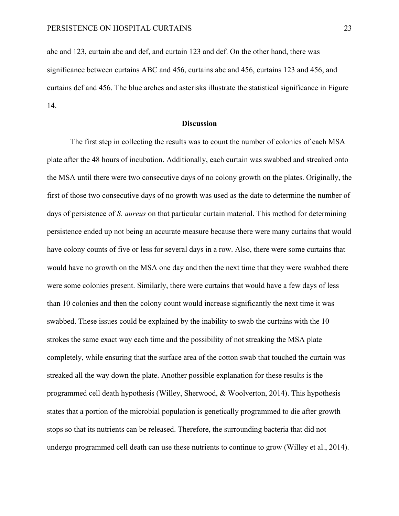abc and 123, curtain abc and def, and curtain 123 and def. On the other hand, there was significance between curtains ABC and 456, curtains abc and 456, curtains 123 and 456, and curtains def and 456. The blue arches and asterisks illustrate the statistical significance in Figure 14.

## **Discussion**

The first step in collecting the results was to count the number of colonies of each MSA plate after the 48 hours of incubation. Additionally, each curtain was swabbed and streaked onto the MSA until there were two consecutive days of no colony growth on the plates. Originally, the first of those two consecutive days of no growth was used as the date to determine the number of days of persistence of *S. aureus* on that particular curtain material. This method for determining persistence ended up not being an accurate measure because there were many curtains that would have colony counts of five or less for several days in a row. Also, there were some curtains that would have no growth on the MSA one day and then the next time that they were swabbed there were some colonies present. Similarly, there were curtains that would have a few days of less than 10 colonies and then the colony count would increase significantly the next time it was swabbed. These issues could be explained by the inability to swab the curtains with the 10 strokes the same exact way each time and the possibility of not streaking the MSA plate completely, while ensuring that the surface area of the cotton swab that touched the curtain was streaked all the way down the plate. Another possible explanation for these results is the programmed cell death hypothesis (Willey, Sherwood, & Woolverton, 2014). This hypothesis states that a portion of the microbial population is genetically programmed to die after growth stops so that its nutrients can be released. Therefore, the surrounding bacteria that did not undergo programmed cell death can use these nutrients to continue to grow (Willey et al., 2014).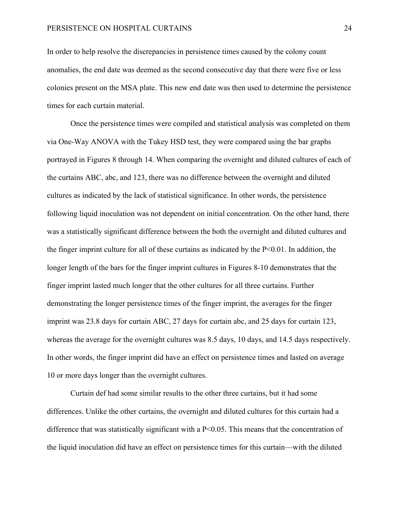In order to help resolve the discrepancies in persistence times caused by the colony count anomalies, the end date was deemed as the second consecutive day that there were five or less colonies present on the MSA plate. This new end date was then used to determine the persistence times for each curtain material.

Once the persistence times were compiled and statistical analysis was completed on them via One-Way ANOVA with the Tukey HSD test, they were compared using the bar graphs portrayed in Figures 8 through 14. When comparing the overnight and diluted cultures of each of the curtains ABC, abc, and 123, there was no difference between the overnight and diluted cultures as indicated by the lack of statistical significance. In other words, the persistence following liquid inoculation was not dependent on initial concentration. On the other hand, there was a statistically significant difference between the both the overnight and diluted cultures and the finger imprint culture for all of these curtains as indicated by the  $P<0.01$ . In addition, the longer length of the bars for the finger imprint cultures in Figures 8-10 demonstrates that the finger imprint lasted much longer that the other cultures for all three curtains. Further demonstrating the longer persistence times of the finger imprint, the averages for the finger imprint was 23.8 days for curtain ABC, 27 days for curtain abc, and 25 days for curtain 123, whereas the average for the overnight cultures was 8.5 days, 10 days, and 14.5 days respectively. In other words, the finger imprint did have an effect on persistence times and lasted on average 10 or more days longer than the overnight cultures.

Curtain def had some similar results to the other three curtains, but it had some differences. Unlike the other curtains, the overnight and diluted cultures for this curtain had a difference that was statistically significant with a  $P<0.05$ . This means that the concentration of the liquid inoculation did have an effect on persistence times for this curtain—with the diluted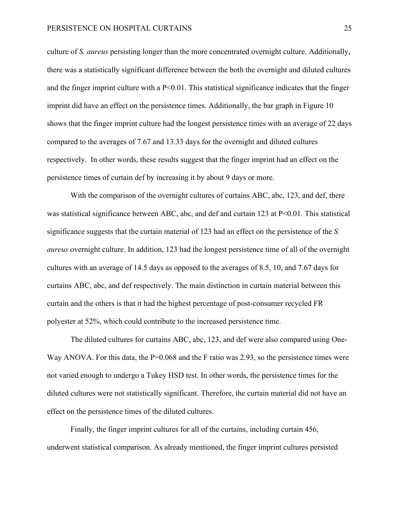## PERSISTENCE ON HOSPITAL CURTAINS 25

culture of *S. aureus* persisting longer than the more concentrated overnight culture. Additionally, there was a statistically significant difference between the both the overnight and diluted cultures and the finger imprint culture with a  $P<0.01$ . This statistical significance indicates that the finger imprint did have an effect on the persistence times. Additionally, the bar graph in Figure 10 shows that the finger imprint culture had the longest persistence times with an average of 22 days compared to the averages of 7.67 and 13.33 days for the overnight and diluted cultures respectively. In other words, these results suggest that the finger imprint had an effect on the persistence times of curtain def by increasing it by about 9 days or more.

With the comparison of the overnight cultures of curtains ABC, abc, 123, and def, there was statistical significance between ABC, abc, and def and curtain 123 at P<0.01. This statistical significance suggests that the curtain material of 123 had an effect on the persistence of the *S. aureus* overnight culture. In addition, 123 had the longest persistence time of all of the overnight cultures with an average of 14.5 days as opposed to the averages of 8.5, 10, and 7.67 days for curtains ABC, abc, and def respectively. The main distinction in curtain material between this curtain and the others is that it had the highest percentage of post-consumer recycled FR polyester at 52%, which could contribute to the increased persistence time.

The diluted cultures for curtains ABC, abc, 123, and def were also compared using One-Way ANOVA. For this data, the P=0.068 and the F ratio was 2.93, so the persistence times were not varied enough to undergo a Tukey HSD test. In other words, the persistence times for the diluted cultures were not statistically significant. Therefore, the curtain material did not have an effect on the persistence times of the diluted cultures.

Finally, the finger imprint cultures for all of the curtains, including curtain 456, underwent statistical comparison. As already mentioned, the finger imprint cultures persisted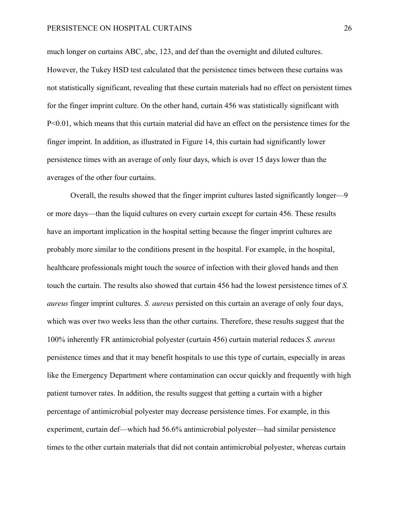much longer on curtains ABC, abc, 123, and def than the overnight and diluted cultures. However, the Tukey HSD test calculated that the persistence times between these curtains was not statistically significant, revealing that these curtain materials had no effect on persistent times for the finger imprint culture. On the other hand, curtain 456 was statistically significant with P<0.01, which means that this curtain material did have an effect on the persistence times for the finger imprint. In addition, as illustrated in Figure 14, this curtain had significantly lower persistence times with an average of only four days, which is over 15 days lower than the averages of the other four curtains.

Overall, the results showed that the finger imprint cultures lasted significantly longer—9 or more days—than the liquid cultures on every curtain except for curtain 456. These results have an important implication in the hospital setting because the finger imprint cultures are probably more similar to the conditions present in the hospital. For example, in the hospital, healthcare professionals might touch the source of infection with their gloved hands and then touch the curtain. The results also showed that curtain 456 had the lowest persistence times of *S. aureus* finger imprint cultures. *S. aureus* persisted on this curtain an average of only four days, which was over two weeks less than the other curtains. Therefore, these results suggest that the 100% inherently FR antimicrobial polyester (curtain 456) curtain material reduces *S. aureus*  persistence times and that it may benefit hospitals to use this type of curtain, especially in areas like the Emergency Department where contamination can occur quickly and frequently with high patient turnover rates. In addition, the results suggest that getting a curtain with a higher percentage of antimicrobial polyester may decrease persistence times. For example, in this experiment, curtain def—which had 56.6% antimicrobial polyester—had similar persistence times to the other curtain materials that did not contain antimicrobial polyester, whereas curtain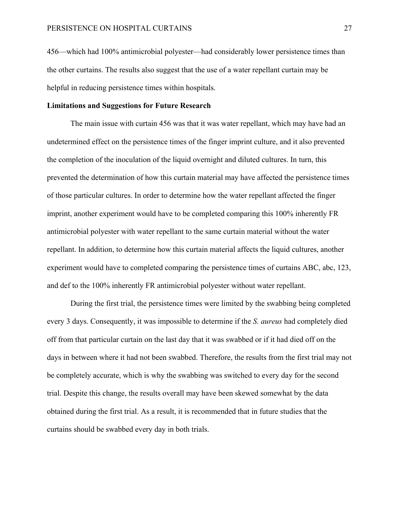456—which had 100% antimicrobial polyester—had considerably lower persistence times than the other curtains. The results also suggest that the use of a water repellant curtain may be helpful in reducing persistence times within hospitals.

# **Limitations and Suggestions for Future Research**

The main issue with curtain 456 was that it was water repellant, which may have had an undetermined effect on the persistence times of the finger imprint culture, and it also prevented the completion of the inoculation of the liquid overnight and diluted cultures. In turn, this prevented the determination of how this curtain material may have affected the persistence times of those particular cultures. In order to determine how the water repellant affected the finger imprint, another experiment would have to be completed comparing this 100% inherently FR antimicrobial polyester with water repellant to the same curtain material without the water repellant. In addition, to determine how this curtain material affects the liquid cultures, another experiment would have to completed comparing the persistence times of curtains ABC, abc, 123, and def to the 100% inherently FR antimicrobial polyester without water repellant.

During the first trial, the persistence times were limited by the swabbing being completed every 3 days. Consequently, it was impossible to determine if the *S. aureus* had completely died off from that particular curtain on the last day that it was swabbed or if it had died off on the days in between where it had not been swabbed. Therefore, the results from the first trial may not be completely accurate, which is why the swabbing was switched to every day for the second trial. Despite this change, the results overall may have been skewed somewhat by the data obtained during the first trial. As a result, it is recommended that in future studies that the curtains should be swabbed every day in both trials.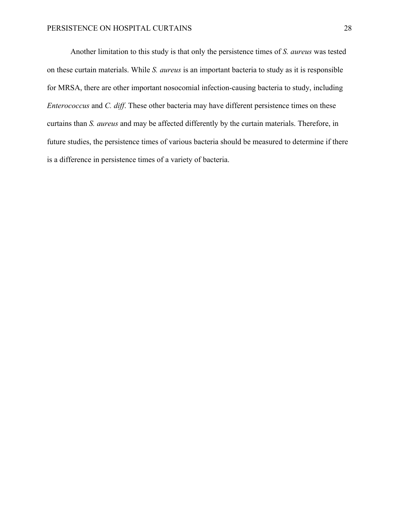Another limitation to this study is that only the persistence times of *S. aureus* was tested on these curtain materials. While *S. aureus* is an important bacteria to study as it is responsible for MRSA, there are other important nosocomial infection-causing bacteria to study, including *Enterococcus* and *C. diff*. These other bacteria may have different persistence times on these curtains than *S. aureus* and may be affected differently by the curtain materials. Therefore, in future studies, the persistence times of various bacteria should be measured to determine if there is a difference in persistence times of a variety of bacteria.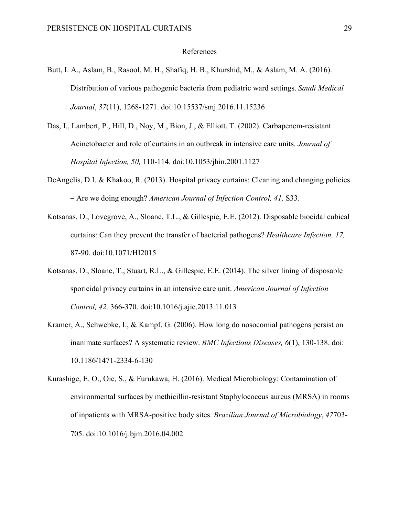## References

- Butt, I. A., Aslam, B., Rasool, M. H., Shafiq, H. B., Khurshid, M., & Aslam, M. A. (2016). Distribution of various pathogenic bacteria from pediatric ward settings. *Saudi Medical Journal*, *37*(11), 1268-1271. doi:10.15537/smj.2016.11.15236
- Das, I., Lambert, P., Hill, D., Noy, M., Bion, J., & Elliott, T. (2002). Carbapenem-resistant Acinetobacter and role of curtains in an outbreak in intensive care units. *Journal of Hospital Infection, 50,* 110-114. doi:10.1053/jhin.2001.1127
- DeAngelis, D.I. & Khakoo, R. (2013). Hospital privacy curtains: Cleaning and changing policies – Are we doing enough? *American Journal of Infection Control, 41,* S33.
- Kotsanas, D., Lovegrove, A., Sloane, T.L., & Gillespie, E.E. (2012). Disposable biocidal cubical curtains: Can they prevent the transfer of bacterial pathogens? *Healthcare Infection, 17,*  87-90. doi:10.1071/HI2015
- Kotsanas, D., Sloane, T., Stuart, R.L., & Gillespie, E.E. (2014). The silver lining of disposable sporicidal privacy curtains in an intensive care unit. *American Journal of Infection Control, 42,* 366-370. doi:10.1016/j.ajic.2013.11.013
- Kramer, A., Schwebke, I., & Kampf, G. (2006). How long do nosocomial pathogens persist on inanimate surfaces? A systematic review. *BMC Infectious Diseases, 6*(1), 130-138. doi: 10.1186/1471-2334-6-130
- Kurashige, E. O., Oie, S., & Furukawa, H. (2016). Medical Microbiology: Contamination of environmental surfaces by methicillin-resistant Staphylococcus aureus (MRSA) in rooms of inpatients with MRSA-positive body sites. *Brazilian Journal of Microbiology*, *47*703- 705. doi:10.1016/j.bjm.2016.04.002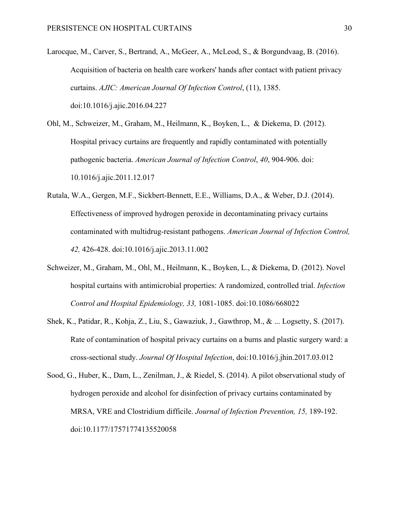- Larocque, M., Carver, S., Bertrand, A., McGeer, A., McLeod, S., & Borgundvaag, B. (2016). Acquisition of bacteria on health care workers' hands after contact with patient privacy curtains. *AJIC: American Journal Of Infection Control*, (11), 1385. doi:10.1016/j.ajic.2016.04.227
- Ohl, M., Schweizer, M., Graham, M., Heilmann, K., Boyken, L., & Diekema, D. (2012). Hospital privacy curtains are frequently and rapidly contaminated with potentially pathogenic bacteria. *American Journal of Infection Control*, *40*, 904-906. doi: 10.1016/j.ajic.2011.12.017
- Rutala, W.A., Gergen, M.F., Sickbert-Bennett, E.E., Williams, D.A., & Weber, D.J. (2014). Effectiveness of improved hydrogen peroxide in decontaminating privacy curtains contaminated with multidrug-resistant pathogens. *American Journal of Infection Control, 42,* 426-428. doi:10.1016/j.ajic.2013.11.002
- Schweizer, M., Graham, M., Ohl, M., Heilmann, K., Boyken, L., & Diekema, D. (2012). Novel hospital curtains with antimicrobial properties: A randomized, controlled trial. *Infection Control and Hospital Epidemiology, 33,* 1081-1085. doi:10.1086/668022
- Shek, K., Patidar, R., Kohja, Z., Liu, S., Gawaziuk, J., Gawthrop, M., & ... Logsetty, S. (2017). Rate of contamination of hospital privacy curtains on a burns and plastic surgery ward: a cross-sectional study. *Journal Of Hospital Infection*, doi:10.1016/j.jhin.2017.03.012
- Sood, G., Huber, K., Dam, L., Zenilman, J., & Riedel, S. (2014). A pilot observational study of hydrogen peroxide and alcohol for disinfection of privacy curtains contaminated by MRSA, VRE and Clostridium difficile. *Journal of Infection Prevention, 15,* 189-192. doi:10.1177/17571774135520058